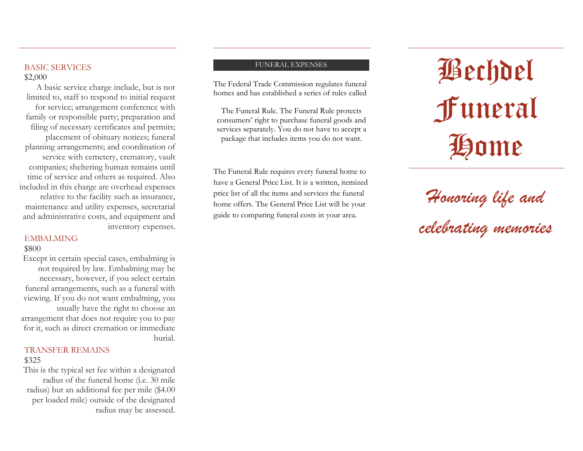### BASIC SERVICES \$2,000

A basic service charge include, but is not limited to, staff to respond to initial request for service; arrangement conference with family or responsible party; preparation and filing of necessary certificates and permits; placement of obituary notices; funeral planning arrangements; and coordination of service with cemetery, crematory, vault companies; sheltering human remains until time of service and others as required. Also included in this charge are overhead expenses relative to the facility such as insurance, maintenance and utility expenses, secretarial and administrative costs, and equipment and inventory expenses.

### EMBALMING

### \$800

Except in certain special cases, embalming is not required by law. Embalming may be necessary, however, if you select certain funeral arrangements, such as a funeral with viewing. If you do not want embalming, you usually have the right to choose an arrangement that does not require you to pay for it, such as direct cremation or immediate burial.

### TRANSFER REMAINS \$325

This is the typical set fee within a designated radius of the funeral home (i.e. 30 mile radius) but an additional fee per mile (\$4.00 per loaded mile) outside of the designated radius may be assessed.

#### FUNERAL EXPENSES

The Federal Trade Commission regulates funeral homes and has established a series of rules called

The Funeral Rule. The Funeral Rule protects consumers' right to purchase funeral goods and services separately. You do not have to accept a package that includes items you do not want.

The Funeral Rule requires every funeral home to have a General Price List. It is a written, itemized price list of all the items and services the funeral home offers. The General Price List will be your guide to comparing funeral costs in your area.

# Bechdel Funeral Home

## *Honoring life and celebrating memories*